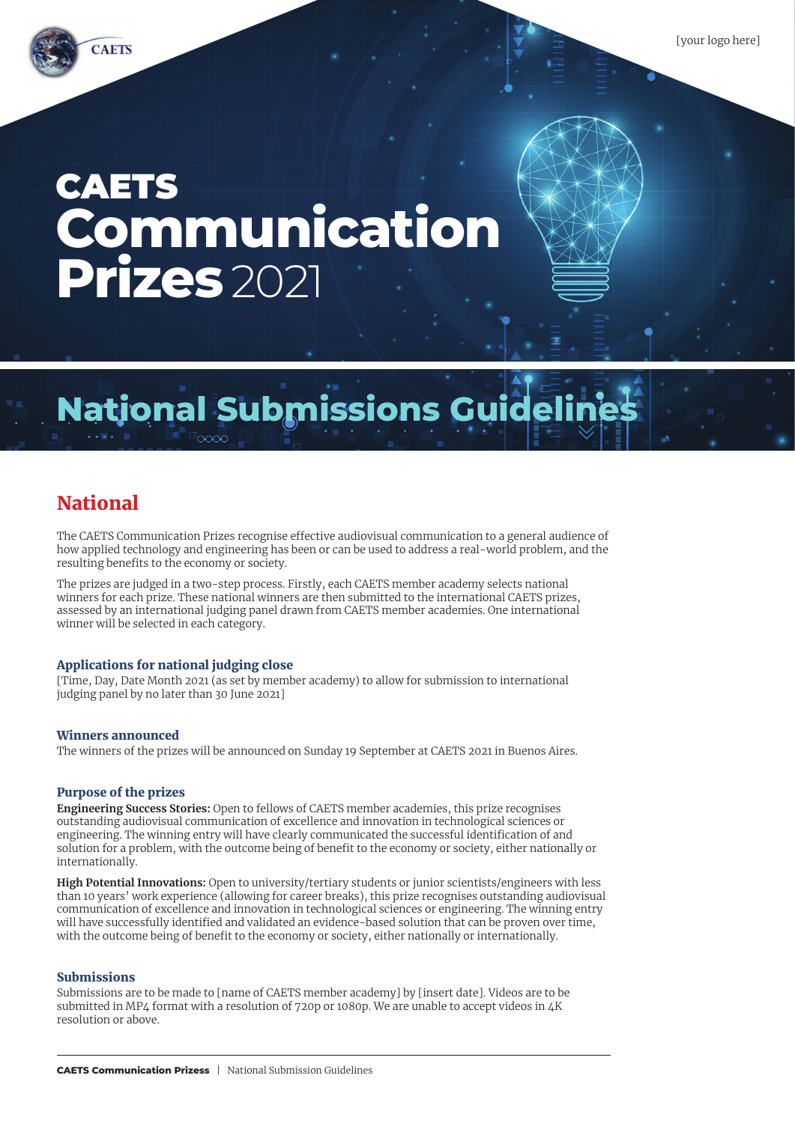# **CAETS Communication Prizes** 2021

## **National Submissions Guideli**

## National

The CAETS Communication Prizes recognise effective audiovisual communication to a general audience of how applied technology and engineering has been or can be used to address a real-world problem, and the resulting benefits to the economy or society.

The prizes are judged in a two-step process. Firstly, each CAETS member academy selects national winners for each prize. These national winners are then submitted to the international CAETS prizes, assessed by an international judging panel drawn from CAETS member academies. One international winner will be selected in each category.

## Applications for national judging close

[Time, Day, Date Month 2021 (as set by member academy) to allow for submission to international judging panel by no later than 30 June 2021]

## Winners announced

The winners of the prizes will be announced on Sunday 19 September at CAETS 2021 in Buenos Aires.

#### Purpose of the prizes

**Engineering Success Stories:** Open to fellows of CAETS member academies, this prize recognises outstanding audiovisual communication of excellence and innovation in technological sciences or engineering. The winning entry will have clearly communicated the successful identification of and solution for a problem, with the outcome being of benefit to the economy or society, either nationally or internationally.

**High Potential Innovations:** Open to university/tertiary students or junior scientists/engineers with less than 10 years' work experience (allowing for career breaks), this prize recognises outstanding audiovisual communication of excellence and innovation in technological sciences or engineering. The winning entry will have successfully identified and validated an evidence-based solution that can be proven over time, with the outcome being of benefit to the economy or society, either nationally or internationally.

#### Submissions

Submissions are to be made to [name of CAETS member academy] by [insert date]. Videos are to be submitted in MP4 format with a resolution of 720p or 1080p. We are unable to accept videos in 4K resolution or above.